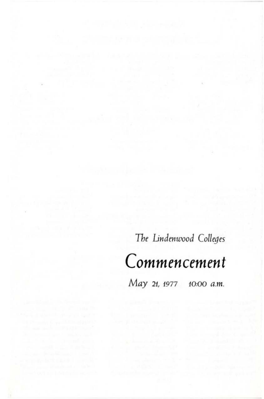The *Lindenwood Colleges* 

# *Commencement*

*May 21, 1977* 10:00 a.m.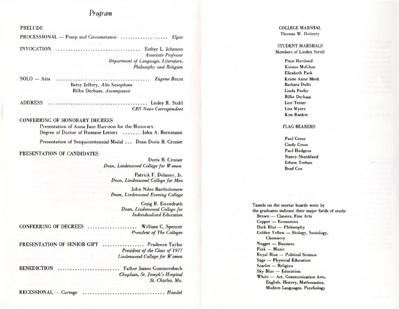### Program

### **PRELUDE**

PROCESSIONAL - Pomp and Circumstance ................... Elgar Associate Professor Department of Language, Literature, Philosophy and Religion

Betsy Jeffery, Alto Saxophone Billie Derham, Accompanist

**CBS** News Correspondent

### **CONFERRING OF HONORARY DEGREES**

Presentation of Anna Jane Harrison for the Honorary Degree of Doctor of Humane Letters ....... John A. Bornmann

Presentation of Sesquicentennial Medal ... Dean Doris B. Crozier

### PRESENTATION OF CANDIDATES

Doris B. Crozier Dean, Lindenwood College for Women

Patrick F. Delaney, Jr. Dean, Lindenwood College for Men

**John Niles Bartholomew** Dean, Lindenwood Evening College

> Craig R. Eisendrath Dean, Lindenwood College for Individualized Education

CONFERRING OF DEGREES ................... William C. Spencer

**President of The Colleges** 

PRESENTATION OF SENIOR GIFT ................. Prudence Taylor President of the Class of 1977 Lindenwood College for Women

BENEDICTION ......................... Father James Gummersbach

Chaplain, St. Joseph's Hospital St. Charles, Mo.

**COLLEGE MARSHAL** Thomas W. Doherty

**STUDENT MARSHALS** Members of Linden Scroll

> Pixie Haviland Kinnee McGhee Elizabeth Park **Kriste Anne Meek Barbara Dultz** Linda Peeler **Billie Derham** Lori Teeter Lisa Myers **Kim Rankin**

#### **FLAG BEARERS**

Paul Gross **Cindy Gross** Paul Hudgens Nancy Shankland Ethem Terhan **Brad Cox** 

Tassels on the mortar boards worn by the graduates indicate their major fields of study: Brown - Classics, Fine Arts Copper - Economics Dark Blue - Philosophy Golden Yellow - Biology, Sociology, Chemistry Nugget - Business Pink - Music Royal Blue - Political Science Sage - Physicial Education Scarlet - Religion Sky Blue - Education White - Art, Communication Arts, English, History, Mathematics, Modern Languages, Psychology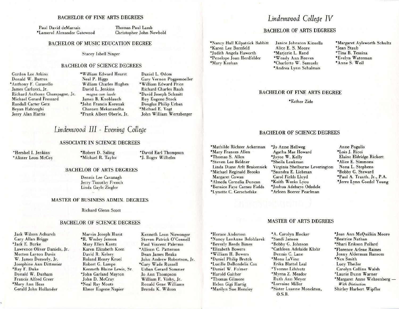### BACHELOR OF FINE ARTS DEGREES

Paul David deMarrais ·Lamerol Alexander Gatewood Thomas Paul Lamb Christopher lohn Newbold

### BACHELOR OF MUSIC EDUCATION DEGREE

Stacey Isbell Singer

### BACHELOR OF SCIENCE DEGREES

Gordon Lee Atkins Donald W. Burrus \*Anthony F. Caravello James Carlucci, Jr. Richard Anthony Champagne, Jr. Michael Gerard Frossard Randall Carter Celz Beran Hablezghi Jerry Alan Harris

·William Edward Hearst Neal P. Higgs William Charles Hughes David L. Jenkins *magna cum laude* James B. Knoblauch \*John Francis Korenak Charoen Mekanandha ·Frank Albert Oberle, Jr.

Daniel L. Odom Gary Vernon Poggemoeller ·William Edward Price Richard Charles Rauh ·David Joseph Schmitt Roy Eugene Stock Douglas Philip Urban ·Michael E. Vogi John William Wertzberger

## *Lindenwood III* - *Evening College*

#### ASSOCIATE IN SCIENCE DEGREES

·Hershel I. Jenkins • Alister Leon McCoy ·Robert D. Saling ·Michael R. Taylor • David Earl Thompson \*J. Roger Wilhelm

### BACHELOR OF ARTS DEGREES

Dennis Lee Cavanagh Jerry Timothy French Linda Gayle Ziegler

### MASTER OF BUSINESS ADMIN. DEGREES

Richard Glenn Scott

#### BACHELOR OF SCIENCE DEGREES

lack Wilson Achurch Gary Allan Briggs ·Jack E. Burke Lawrence Oliver Daniels, Jr. Morton Layton Davis W. James Demerly. Jr. Josephine Ann Dittmeicr "Ray F. Duke Donald W. Durham Francis Alfred Greer \*Mary Ann Hess Gerald John Hollander

Marvin Joseph Hurst \*R. Wesley Jenson Mary Ellen Kantz Karen Elizabeth Keen David R. Kelsey Roland Henry Kruel Robert G. Lampe Kenneth Blaine Lewis, Sr. ·John Garland Mayton John D. McCray \*Neal Ray Moots Elmer Eugene Napier

Kenneth Leon Niswonger Steven Patrick O'Connell Paul Vincent Palermo \* Allison C. Patterson Dean James Reaka lohn Andrew Robertson, Jr. \*Gary Wade Russell Urban Gerard Sommer Jo Ann Thompson William F. Vishy, Jr. Ronald Gene Williams Brenda K. Wilson

### Lindenwood College IV

### BACHELOR OF ARTS DEGREES

\*Nancy Hall Kilpatrick Babbitt ·Karen Lee Bornfeld \*Judith Angela Haworth ·Penelope Joan Herdfelder \*Mary Keehan

Janice Johnston Kinsella Alice E. S. Moore \*Marjorie L. Rand 'Wendy Ann Reeves 'Charlotte W. Samuels \* Andrea Lynn Scbalman

-Margaret Aylsworth Schultz \*Jean Staub "Tina B. Tessina -Evelyn Waterman "Anne S. Weil

### BACHELOR OF FINE ARTS DEGREE

\*Esther Zide

### BACHELOR OF SCIENCE DEGREES

- \*Mathilde Richter Ackerman \*Mary Frances Allen \*Thomas S. Allen · Steven Lee Beldner Linda Diane Arlt Brakensiek \*Michael Reginald Brooks Margaret Cowan \* Almeda Cornelia Duncan 'Bernice Faye Carnes Fields \*Lynette C. Gerschefske
	- \*Jo Anne Hellweg Agatha Mae Howard -Joyce W. Kelly 'Sheila Lenkman Virginia Shelburne Leverington 'Saundra E. Liebman Carol Fields Lloyd "Keith Weeks Lyou \*Josbua Adebayo Odedele • Arleen Boerer Pearlman
- Anne Pogulis 'Lois 1. Ricci Elaine Eldridge Rickert • Alice E. Simmons Nona L. Stephens "Bobby G. Steward ·Paul A. Trauth, Jr., P.A. \* Jerre Lynn Goedel Young

### MASTER OF ARTS DEGREES

'Horace Anderson 'Nancy LeeAnne Belohlavek 'Beverly Reeds Bimes \*Elizabeth Bowers 'William H. Bowers \*Daniel Philip Bretch 'Lucille DeBondelis Cox \*Daniel W. Fulmer 'Harold Gaither 'Thomas Gilmore Helen Gigi Hartig 'Marilyn Sue Hensley

·A. Carolyn Hooker 'Sandi Janson 'Bobby G. Johnson 'Cathleen Adelaide Klahr Dennis C. Lane "Mona laVine Erika Blattel Leal ·Yvonne Lifshutz \*Myrna Z. Meador Ruth Ann Meyer \*Lorraine Miller \*Sister Luanne Monckton,

0.5.B.

·Jean Ann McQuilkin Moore \*Beatrice Nathan ·Shari Erikson Pollard ·Florence Arlene Raines Jenny Alderman Ransom 'Nex Smith Lucy Theiler Carolyn Collins Walsh "Laurie Dunn Warner \*Margaret Anne Wehrenberg -*With Distinction* Shirley Harbert Wipfler